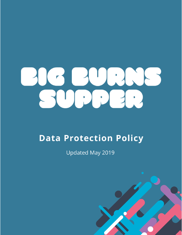

# **Data Protection Policy**

**Updated May 2019** 

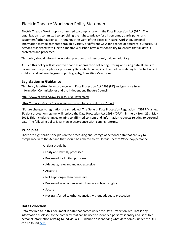## Electric Theatre Workshop Policy Statement

Electric Theatre Workshop is committed to compliance with the Data Protection Act (DPA). The organisation is committed to upholding the right to privacy for all personnel, participants, and customers/ other audience. Throughout the work of the Electric Theatre Workshop, personal information may be gathered through a variety of different ways for a range of different purposes. All persons associated with Electric Theatre Workshop have a responsibility to ensure that all data is protected and processed

This policy should inform the working practices of all personnel, paid or voluntary.

As such this policy will set out the Charities approach to collecting, storing and using data. It aims to make clear the principles for processing Data which underpins other policies relating to Protections of children and vulnerable groups, photography, Equalities Monitoring.

## **Legislation & Guidance**

This Policy is written in accordance with Data Protection Act 1998 (UK) and guidance from Information Commissioner and the Independent Theatre Council.

http://www.legislation.gov.uk/ukpga/1998/29/contents

#### https://ico.org.uk/media/for-organisations/guide-to-data-protection-2-8.pdf

\*Future changes to legislation are scheduled. The General Data Protection Regulation ("GDPR"), a new EU data protection regime, will replace the Data Protection Act 1998 ("DPA") in the UK from 25th May 2018. This includes changes relating to affirmed consent and information requests relating to personal data. The following policy is written in accordance with coming reforms.

### **Principles**

There are eight basic principles on the processing and storage of personal data that are key to compliance with the Act and that should be adhered to by Electric Theatre Workshop personnel.

All data should be:-

- Fairly and lawfully processed
- Processed for limited purposes
- Adequate, relevant and not excessive
- Accurate
- Not kept longer than necessary
- Processed in accordance with the data subject's rights
- Secure
- Not transferred to other countries without adequate protection

#### **Data Collection**

Data referred to in this document is data that comes under the Data Protection Act. That is any information disclosed to the company that can be used to identify a person's identity and sensitive personal information relating to individuals. Guidance on identifying what data comes under the DPA can be found here.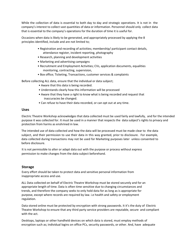While the collection of data is essential to both day to day and strategic operations. It is not in the company's interest to collect vast quantities of data or information. Personnel should only collect data that is essential to the company's operations for the duration of time it is useful for.

Occasions when data is likely to be generated, and appropriately processed by applying the 8 principles identified, include and are not limited to;

- Registration and recording of activities; membership/ participant contact details, attendance register, incident reporting, photography
- Research, planning and development activities
- Marketing and advertising campaigns
- Recruitment and Employment Activities; CVs, application documents, equalities monitoring, contracting, supervision,
- Box office; Ticketing, Transactions, customer services & complaints

Before collecting ALL data, ensure that the individual or data subject;

- Aware that this data is being recorded.
- Understands clearly how this information will be processed
- Aware that they have a right to know what is being recorded and request that inaccuracies be changed.
- Can refuse to have their data recorded, or can opt out at any time.

#### **Uses**

Electric Theatre Workshop acknowledges that data collected must be used fairly and lawfully, and for the intended purpose it was collected for. It must be used in a manner that respects the data subject's rights to privacy and protection from harms as enshrined in law.

The intended use of data collected and how the data will be processed must be made clear to the data subject, and their permission to use their data in this way granted, prior to disclosure. For example, data collected during transactions may not be used for Marketing purposes later unless consented to before disclosure.

It is not permissible to alter or adapt data out with the purpose or process without express permission to make changes from the data subject beforehand.

#### **Storage**

Every effort should be taken to protect data and sensitive personal information from inappropriate access and use.

ALL Data collected on behalf of Electric Theatre Workshop must be stored securely and for an appropriate length of time. Data is often time sensitive due to changing circumstances and trends, and therefore the company seeks to only hold data for as long as is appropriate for purpose, except where records are required by law. i.e health and safety or employment regulation.

Data stored online must be protected by encryption with strong passwords. It it's the duty of Electric Theatre Workshop to ensure that any third party service providers are reputable, secure and compliant with the act.

Desktops, laptops or other handheld devices on which data is stored, must employ methods of encryption such as; individual logins on office PCs, security passwords, or other. And, have adequate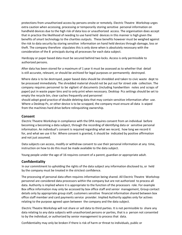protections from unauthorized access by persons onsite or remotely. Electric Theatre Workshop urges extra caution when accessing, processing or temporarily storing sensitive personal information on handheld devices due to the high risk of data loss or unauthorized access. The organisation does accept that in practice the likelihood of needing to use hand held devices in this manner is high given the benefits of smart technology to the charities outputs. These benefits however must be weighed against the risk to data security by storing sensitive information on hand held devices through damage, loss or theft. The company therefore stipulates this is only done when is absolutely necessary with the consideration of the 8 principals during all processes for each data subject.

Hardcopy or paper based data must be secured behind two locks. Access is only permissible to authorized persons.

After data has been stored for a maximum of 1 year it must be assessed as to whether that detail is still accurate, relevant, or should be archived for legal purposes or permanently destroyed.

Where data is to be destroyed, paper based data should be shredded and taken to civic waste dept to be processed immediately. The shredded material should not be put out for street side collection. The company requires personnel to be vigilant of documents (including handwritten notes and scraps of paper) put in waste paper bins and to only print when necessary. Desktop Pcs settings should be set to empty the recycle bin, clear caches frequently and personnel

should adopt good practice of double deleting data that may contain sensitive information after use. Where a Desktop Pc, or other device is to be scrapped, the company must ensure all data is wiped from the machines hard drive before relinquishing ownership.

#### **Consent**

Electric Theatre Workshop in compliance with the DPA requires consent from an individual before becoming a becoming a data subject, through the recording of identifying data or sensitive personal information. An individual's consent is required regarding what we record, how long we record it for, and what we use it for. Where consent is granted, it should be indicated by positive affirmation and not just assumed.

Data subjects can access, modify or withdraw consent to use their personal information at any time, instruction on how to do this must be made available to the data subject.

Young people under the age of 16 requires consent of a parent, guardian or appropriate adult.

#### **Confidentiality**

In our commitment to upholding the rights of the data subject any information disclosed to, or held by the company must be treated in the strictest confidence.

The processing of personal data often requires information being shared. All Electric Theatre Workshop personnel are considered data processors within the company but are not authorized to process all data. Authority is implied where it is appropriate to the function of the processors role. For example Box office information may only be accessed by box office staff and senior management, Group contact details only by appropriate group staff, customers sensitive financial information shared between box office staff member and card payments service provider. Implied Authority applies only for actives relating to the purpose agreed upon between the company and the data subject.

Electric Theatre Workshop will not share or sell data to third parties. It is not permissible to share any data relating to any data subjects with unauthorized persons or parties, that is a person not consented to by the individual, or authorized by senior management to process that data.

Confidentiality may only be broken if there is risk of harm or threat to individuals, public or